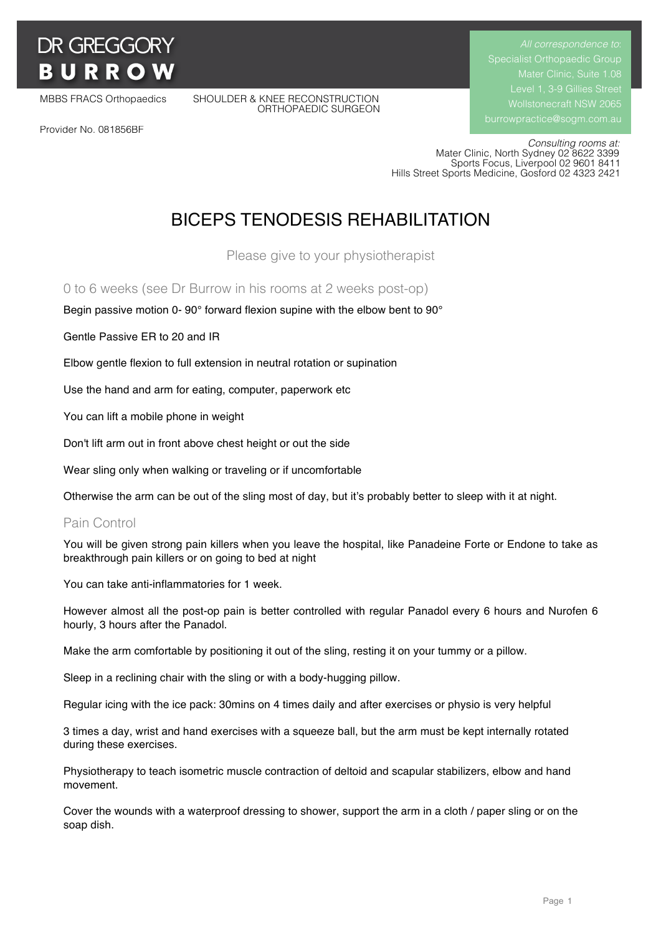# **DR GREGGORY BURRO**

MBBS FRACS Orthopaedics SHOULDER & KNEE RECONSTRUCTION ORTHOPAEDIC SURGEON Specialist Orthopaedic Group Mater Clinic, Suite 1.08

Provider No. 081856BF

 *Consulting rooms at:* Mater Clinic, North Sydney 02 8622 3399 Sports Focus, Liverpool 02 9601 8411 Hills Street Sports Medicine, Gosford 02 4323 2421

# BICEPS TENODESIS REHABILITATION

Please give to your physiotherapist

0 to 6 weeks (see Dr Burrow in his rooms at 2 weeks post-op)

Begin passive motion 0- 90° forward flexion supine with the elbow bent to 90°

Gentle Passive ER to 20 and IR

Elbow gentle flexion to full extension in neutral rotation or supination

Use the hand and arm for eating, computer, paperwork etc

You can lift a mobile phone in weight

Don't lift arm out in front above chest height or out the side

Wear sling only when walking or traveling or if uncomfortable

Otherwise the arm can be out of the sling most of day, but it's probably better to sleep with it at night.

### Pain Control

You will be given strong pain killers when you leave the hospital, like Panadeine Forte or Endone to take as breakthrough pain killers or on going to bed at night

You can take anti-inflammatories for 1 week.

However almost all the post-op pain is better controlled with regular Panadol every 6 hours and Nurofen 6 hourly, 3 hours after the Panadol.

Make the arm comfortable by positioning it out of the sling, resting it on your tummy or a pillow.

Sleep in a reclining chair with the sling or with a body-hugging pillow.

Regular icing with the ice pack: 30mins on 4 times daily and after exercises or physio is very helpful

3 times a day, wrist and hand exercises with a squeeze ball, but the arm must be kept internally rotated during these exercises.

Physiotherapy to teach isometric muscle contraction of deltoid and scapular stabilizers, elbow and hand movement.

Cover the wounds with a waterproof dressing to shower, support the arm in a cloth / paper sling or on the soap dish.